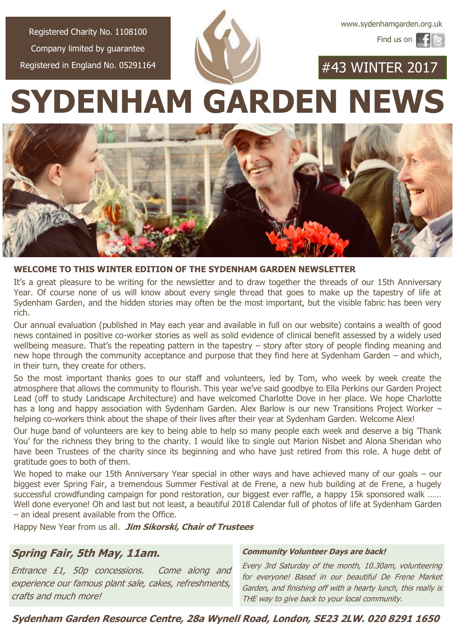[www.sydenhamgarden.org.uk](http://www.sydenhamgarden.org.uk)

Find us on

Registered Charity No. 1108100 Company limited by guarantee Registered in England No. 05291164

#43 WINTER 2017

**SYDENHAM GARDEN NEWS**



#### **WELCOME TO THIS WINTER EDITION OF THE SYDENHAM GARDEN NEWSLETTER**

It's a great pleasure to be writing for the newsletter and to draw together the threads of our 15th Anniversary Year. Of course none of us will know about every single thread that goes to make up the tapestry of life at Sydenham Garden, and the hidden stories may often be the most important, but the visible fabric has been very rich.

Our annual evaluation (published in May each year and available in full on our website) contains a wealth of good news contained in positive co-worker stories as well as solid evidence of clinical benefit assessed by a widely used wellbeing measure. That's the repeating pattern in the tapestry – story after story of people finding meaning and new hope through the community acceptance and purpose that they find here at Sydenham Garden – and which, in their turn, they create for others.

So the most important thanks goes to our staff and volunteers, led by Tom, who week by week create the atmosphere that allows the community to flourish. This year we've said goodbye to Ella Perkins our Garden Project Lead (off to study Landscape Architecture) and have welcomed Charlotte Dove in her place. We hope Charlotte has a long and happy association with Sydenham Garden. Alex Barlow is our new Transitions Project Worker – helping co-workers think about the shape of their lives after their year at Sydenham Garden. Welcome Alex!

Our huge band of volunteers are key to being able to help so many people each week and deserve a big 'Thank You' for the richness they bring to the charity. I would like to single out Marion Nisbet and Alona Sheridan who have been Trustees of the charity since its beginning and who have just retired from this role. A huge debt of gratitude goes to both of them.

We hoped to make our 15th Anniversary Year special in other ways and have achieved many of our goals – our biggest ever Spring Fair, a tremendous Summer Festival at de Frene, a new hub building at de Frene, a hugely successful crowdfunding campaign for pond restoration, our biggest ever raffle, a happy 15k sponsored walk …… Well done everyone! Oh and last but not least, a beautiful 2018 Calendar full of photos of life at Sydenham Garden – an ideal present available from the Office.

Happy New Year from us all. **Jim Sikorski, Chair of Trustees**

### **Spring Fair, 5th May, 11am.**

Entrance £1, 50p concessions. Come along and experience our famous plant sale, cakes, refreshments, crafts and much more!

#### **Community Volunteer Days are back!**

Every 3rd Saturday of the month, 10.30am, volunteering for everyone! Based in our beautiful De Frene Market Garden, and finishing off with a hearty lunch, this really is THE way to give back to your local community.

**Sydenham Garden Resource Centre, 28a Wynell Road, London, SE23 2LW. 020 8291 1650**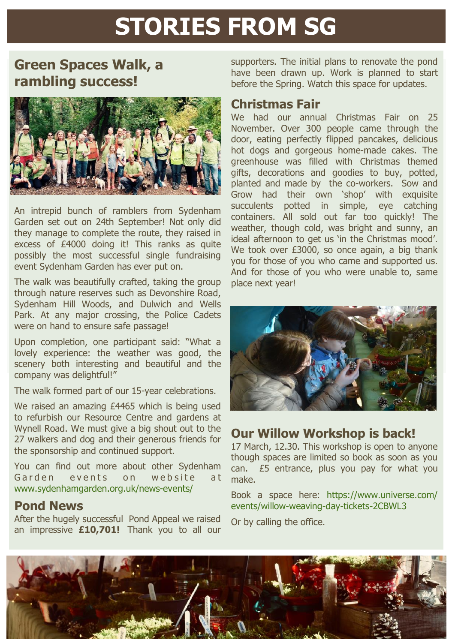# **STORIES FROM SG**

## **Green Spaces Walk, a rambling success!**



An intrepid bunch of ramblers from Sydenham Garden set out on 24th September! Not only did they manage to complete the route, they raised in excess of £4000 doing it! This ranks as quite possibly the most successful single fundraising event Sydenham Garden has ever put on.

The walk was beautifully crafted, taking the group through nature reserves such as Devonshire Road, Sydenham Hill Woods, and Dulwich and Wells Park. At any major crossing, the Police Cadets were on hand to ensure safe passage!

Upon completion, one participant said: "What a lovely experience: the weather was good, the scenery both interesting and beautiful and the company was delightful!"

The walk formed part of our 15-year celebrations.

We raised an amazing £4465 which is being used to refurbish our Resource Centre and gardens at Wynell Road. We must give a big shout out to the 27 walkers and dog and their generous friends for the sponsorship and continued support.

You can find out more about other Sydenham Garden events on website at [www.sydenhamgarden.org.uk/news-events/](https://www.sydenhamgarden.org.uk/news-events/)

## **Pond News**

After the hugely successful Pond Appeal we raised an impressive **£10,701!** Thank you to all our

supporters. The initial plans to renovate the pond have been drawn up. Work is planned to start before the Spring. Watch this space for updates.

### **Christmas Fair**

We had our annual Christmas Fair on 25 November. Over 300 people came through the door, eating perfectly flipped pancakes, delicious hot dogs and gorgeous home-made cakes. The greenhouse was filled with Christmas themed gifts, decorations and goodies to buy, potted, planted and made by the co-workers. Sow and Grow had their own 'shop' with exquisite succulents potted in simple, eye catching containers. All sold out far too quickly! The weather, though cold, was bright and sunny, an ideal afternoon to get us 'in the Christmas mood'. We took over £3000, so once again, a big thank you for those of you who came and supported us. And for those of you who were unable to, same place next year!



## **Our Willow Workshop is back!**

17 March, 12.30. This workshop is open to anyone though spaces are limited so book as soon as you can. £5 entrance, plus you pay for what you make.

Book a space here: [https://www.universe.com/](https://www.universe.com/events/willow-weaving-day-tickets-2CBWL3) [events/willow-weaving-day-tickets-2CBWL3](https://www.universe.com/events/willow-weaving-day-tickets-2CBWL3)

Or by calling the office.

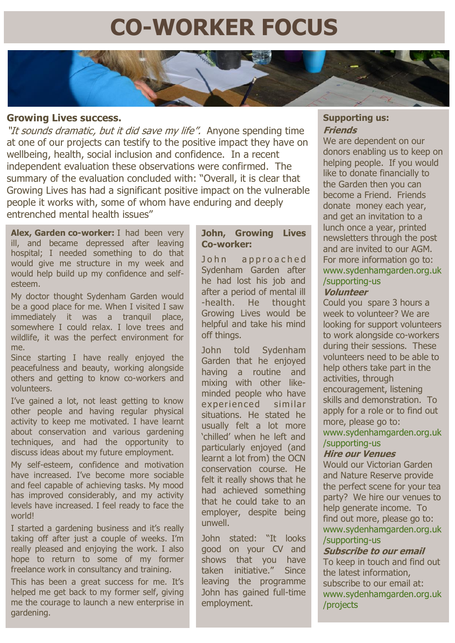## **CO-WORKER FOCUS**

#### **Growing Lives success.**

"It sounds dramatic, but it did save my life". Anyone spending time at one of our projects can testify to the positive impact they have on wellbeing, health, social inclusion and confidence. In a recent independent evaluation these observations were confirmed. The summary of the evaluation concluded with: "Overall, it is clear that Growing Lives has had a significant positive impact on the vulnerable people it works with, some of whom have enduring and deeply entrenched mental health issues"

**Alex, Garden co-worker:** I had been very ill, and became depressed after leaving hospital; I needed something to do that would give me structure in my week and would help build up my confidence and selfesteem.

My doctor thought Sydenham Garden would be a good place for me. When I visited I saw immediately it was a tranquil place, somewhere I could relax. I love trees and wildlife, it was the perfect environment for me.

Since starting I have really enjoyed the peacefulness and beauty, working alongside others and getting to know co-workers and volunteers.

I've gained a lot, not least getting to know other people and having regular physical activity to keep me motivated. I have learnt about conservation and various gardening techniques, and had the opportunity to discuss ideas about my future employment.

My self-esteem, confidence and motivation have increased. I've become more sociable and feel capable of achieving tasks. My mood has improved considerably, and my activity levels have increased. I feel ready to face the world!

I started a gardening business and it's really taking off after just a couple of weeks. I'm really pleased and enjoying the work. I also hope to return to some of my former freelance work in consultancy and training.

This has been a great success for me. It's helped me get back to my former self, giving me the courage to launch a new enterprise in gardening.

#### **John, Growing Lives Co-worker:**

John approached Sydenham Garden after he had lost his job and after a period of mental ill -health. He thought Growing Lives would be helpful and take his mind off things.

John told Sydenham Garden that he enjoyed having a routine and mixing with other likeminded people who have experienced similar situations. He stated he usually felt a lot more 'chilled' when he left and particularly enjoyed (and learnt a lot from) the OCN conservation course. He felt it really shows that he had achieved something that he could take to an employer, despite being unwell.

John stated: "It looks good on your CV and shows that you have taken initiative." Since leaving the programme John has gained full-time employment.

#### **Supporting us: Friends**

We are dependent on our donors enabling us to keep on helping people. If you would like to donate financially to the Garden then you can become a Friend. Friends donate money each year, and get an invitation to a lunch once a year, printed newsletters through the post and are invited to our AGM. For more information go to: [www.sydenhamgarden.org.uk](http://www.sydenhamgarden.org.uk/supporting-us) [/supporting-us](http://www.sydenhamgarden.org.uk/supporting-us)

## **Volunteer**

Could you spare 3 hours a week to volunteer? We are looking for support volunteers to work alongside co-workers during their sessions. These volunteers need to be able to help others take part in the activities, through encouragement, listening skills and demonstration. To apply for a role or to find out more, please go to: [www.sydenhamgarden.org.uk](http://www.sydenhamgarden.org.uk/supporting-us) [/supporting-us](http://www.sydenhamgarden.org.uk/supporting-us)

#### **Hire our Venues**

Would our Victorian Garden and Nature Reserve provide the perfect scene for your tea party? We hire our venues to help generate income. To find out more, please go to: [www.sydenhamgarden.org.uk](http://www.sydenhamgarden.org.uk/supporting-us) [/supporting-us](http://www.sydenhamgarden.org.uk/supporting-us)

#### **Subscribe to our email** To keep in touch and find out the latest information,

subscribe to our email at: [www.sydenhamgarden.org.uk](http://www.sydenhamgarden.org.uk/projects/) [/projects](http://www.sydenhamgarden.org.uk/projects/)